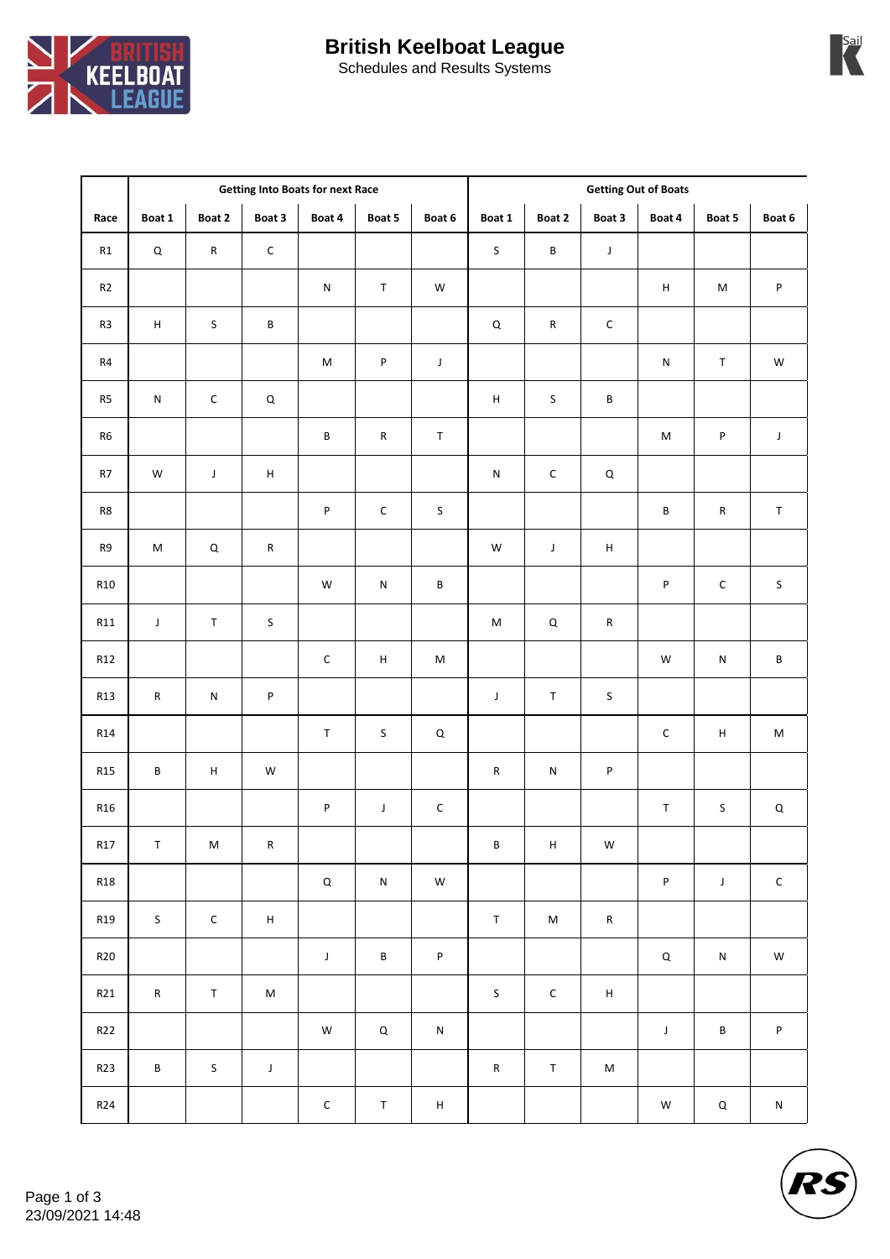## **British Keelboat League**



Schedules and Results Systems

|                 | <b>Getting Into Boats for next Race</b> |             |                           |                                                                                                            |                           | <b>Getting Out of Boats</b> |                           |               |                |                                                                                                            |                                                                                                            |             |
|-----------------|-----------------------------------------|-------------|---------------------------|------------------------------------------------------------------------------------------------------------|---------------------------|-----------------------------|---------------------------|---------------|----------------|------------------------------------------------------------------------------------------------------------|------------------------------------------------------------------------------------------------------------|-------------|
| Race            | Boat 1                                  | Boat 2      | Boat 3                    | Boat 4                                                                                                     | Boat 5                    | Boat 6                      | Boat 1                    | Boat 2        | Boat 3         | Boat 4                                                                                                     | Boat 5                                                                                                     | Boat 6      |
| R1              | $\mathsf Q$                             | ${\sf R}$   | $\mathsf{C}$              |                                                                                                            |                           |                             | $\sf S$                   | $\sf B$       | $\mathsf J$    |                                                                                                            |                                                                                                            |             |
| R2              |                                         |             |                           | ${\sf N}$                                                                                                  | $\mathsf T$               | W                           |                           |               |                | $\sf H$                                                                                                    | $\mathsf{M}% _{T}=\mathsf{M}_{T}\!\left( a,b\right) ,\ \mathsf{M}_{T}=\mathsf{M}_{T}\!\left( a,b\right) ,$ | P           |
| R3              | $\boldsymbol{\mathsf{H}}$               | $\sf S$     | $\sf{B}$                  |                                                                                                            |                           |                             | $\mathsf Q$               | ${\sf R}$     | $\mathsf C$    |                                                                                                            |                                                                                                            |             |
| $\mathsf{R}4$   |                                         |             |                           | $\mathsf{M}% _{T}=\mathsf{M}_{T}\!\left( a,b\right) ,\ \mathsf{M}_{T}=\mathsf{M}_{T}\!\left( a,b\right) ,$ | $\sf P$                   | $\mathsf J$                 |                           |               |                | ${\sf N}$                                                                                                  | $\sf T$                                                                                                    | W           |
| R5              | ${\sf N}$                               | $\mathsf C$ | $\mathsf Q$               |                                                                                                            |                           |                             | $\boldsymbol{\mathsf{H}}$ | $\sf S$       | $\sf B$        |                                                                                                            |                                                                                                            |             |
| R6              |                                         |             |                           | $\sf B$                                                                                                    | ${\sf R}$                 | $\mathsf T$                 |                           |               |                | $\mathsf{M}% _{T}=\mathsf{M}_{T}\!\left( a,b\right) ,\ \mathsf{M}_{T}=\mathsf{M}_{T}\!\left( a,b\right) ,$ | ${\sf P}$                                                                                                  | $\mathsf J$ |
| $\mathsf{R}7$   | W                                       | $\mathsf J$ | $\sf H$                   |                                                                                                            |                           |                             | ${\sf N}$                 | $\mathsf C$   | $\mathsf Q$    |                                                                                                            |                                                                                                            |             |
| R8              |                                         |             |                           | $\sf P$                                                                                                    | $\mathsf{C}$              | $\sf S$                     |                           |               |                | $\sf{B}$                                                                                                   | ${\sf R}$                                                                                                  | $\mathsf T$ |
| R9              | ${\sf M}$                               | $\mathsf Q$ | ${\sf R}$                 |                                                                                                            |                           |                             | W                         | $\mathsf J$   | $\overline{H}$ |                                                                                                            |                                                                                                            |             |
| <b>R10</b>      |                                         |             |                           | ${\sf W}$                                                                                                  | ${\sf N}$                 | $\sf{B}$                    |                           |               |                | $\sf P$                                                                                                    | $\mathsf C$                                                                                                | $\sf S$     |
| R11             | $\mathsf J$                             | $\mathsf T$ | $\sf S$                   |                                                                                                            |                           |                             | ${\sf M}$                 | $\mathsf Q$   | ${\sf R}$      |                                                                                                            |                                                                                                            |             |
| R12             |                                         |             |                           | $\mathsf{C}$                                                                                               | $\boldsymbol{\mathsf{H}}$ | M                           |                           |               |                | W                                                                                                          | ${\sf N}$                                                                                                  | $\sf{B}$    |
| <b>R13</b>      | ${\sf R}$                               | ${\sf N}$   | P                         |                                                                                                            |                           |                             | J                         | $\mathsf T$   | $\sf S$        |                                                                                                            |                                                                                                            |             |
| R <sub>14</sub> |                                         |             |                           | $\mathsf T$                                                                                                | $\sf S$                   | $\mathsf Q$                 |                           |               |                | $\mathsf C$                                                                                                | $\sf H$                                                                                                    | $\sf M$     |
| <b>R15</b>      | $\sf B$                                 | $\mathsf H$ | W                         |                                                                                                            |                           |                             | ${\sf R}$                 | ${\sf N}$     | $\sf P$        |                                                                                                            |                                                                                                            |             |
| R <sub>16</sub> |                                         |             |                           | $\sf P$                                                                                                    | $\mathsf J$               | $\mathsf C$                 |                           |               |                | $\sf T$                                                                                                    | S                                                                                                          | $\mathsf Q$ |
| R17             | $\mathsf{T}$                            | ${\sf M}$   | ${\sf R}$                 |                                                                                                            |                           |                             | $\, {\bf B} \,$           | H             | ${\mathsf W}$  |                                                                                                            |                                                                                                            |             |
| <b>R18</b>      |                                         |             |                           | $\mathsf Q$                                                                                                | ${\sf N}$                 | W                           |                           |               |                | ${\sf P}$                                                                                                  | $\mathsf J$                                                                                                | $\mathsf C$ |
| <b>R19</b>      | $\sf S$                                 | $\mathsf C$ | $\boldsymbol{\mathsf{H}}$ |                                                                                                            |                           |                             | $\mathsf T$               | ${\sf M}$     | ${\sf R}$      |                                                                                                            |                                                                                                            |             |
| <b>R20</b>      |                                         |             |                           | $\mathsf J$                                                                                                | $\sf B$                   | P                           |                           |               |                | $\mathsf Q$                                                                                                | ${\sf N}$                                                                                                  | ${\sf W}$   |
| R21             | ${\sf R}$                               | $\mathsf T$ | ${\sf M}$                 |                                                                                                            |                           |                             | $\mathsf S$               | ${\mathsf C}$ | $\sf H$        |                                                                                                            |                                                                                                            |             |
| R22             |                                         |             |                           | ${\sf W}$                                                                                                  | $\mathsf Q$               | ${\sf N}$                   |                           |               |                | $\mathsf J$                                                                                                | $\sf{B}$                                                                                                   | $\sf P$     |
| R23             | $\sf B$                                 | $\sf S$     | $\mathsf J$               |                                                                                                            |                           |                             | ${\sf R}$                 | $\top$        | $\sf M$        |                                                                                                            |                                                                                                            |             |
| R24             |                                         |             |                           | $\mathsf C$                                                                                                | $\sf T$                   | $\boldsymbol{\mathsf{H}}$   |                           |               |                | W                                                                                                          | $\mathsf Q$                                                                                                | ${\sf N}$   |



**Sail**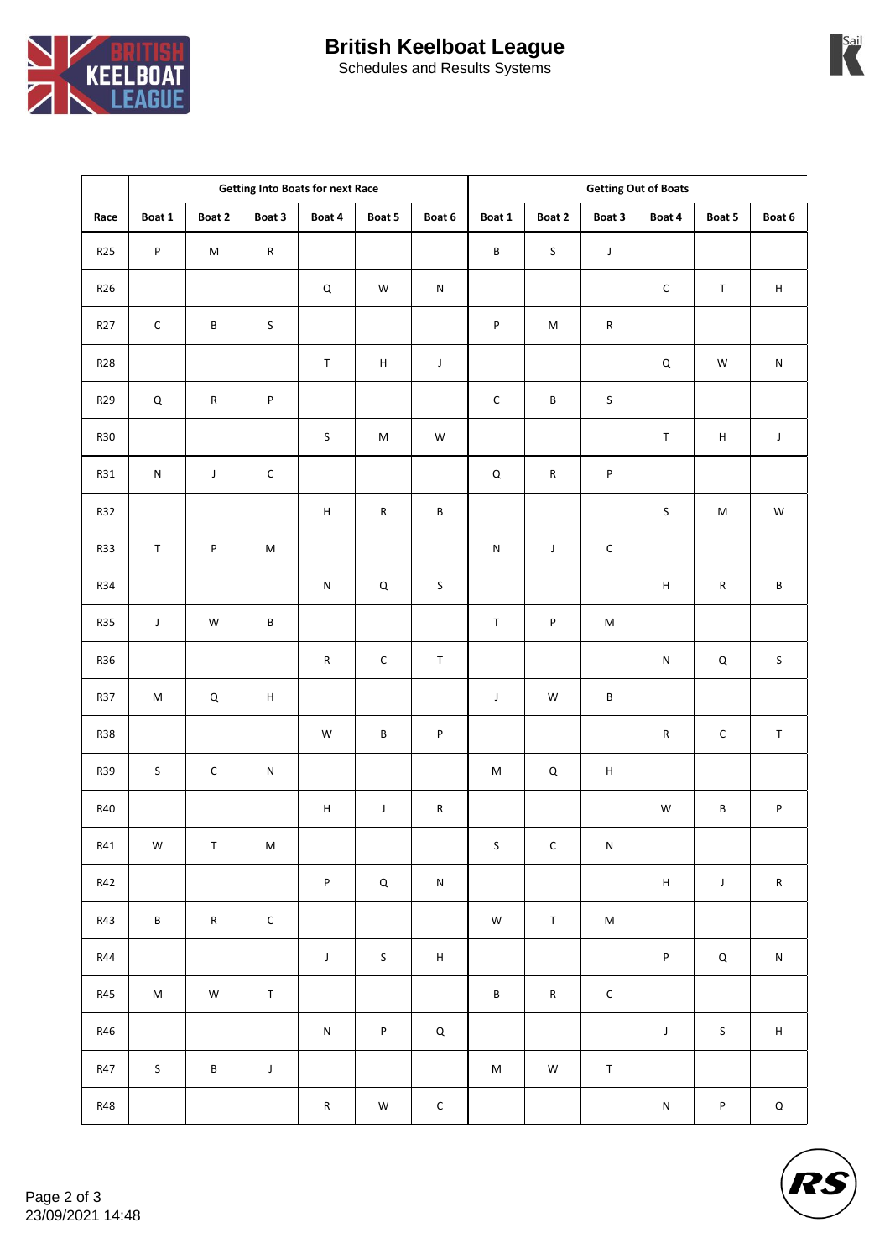



| <b>Schedules and Results Systems</b> |  |
|--------------------------------------|--|
|--------------------------------------|--|

|            | <b>Getting Into Boats for next Race</b> |             |                           |                           |                                                                                                            |             | <b>Getting Out of Boats</b>                                                                                |               |                                                                                                            |                           |             |                           |  |
|------------|-----------------------------------------|-------------|---------------------------|---------------------------|------------------------------------------------------------------------------------------------------------|-------------|------------------------------------------------------------------------------------------------------------|---------------|------------------------------------------------------------------------------------------------------------|---------------------------|-------------|---------------------------|--|
| Race       | Boat 1                                  | Boat 2      | Boat 3                    | Boat 4                    | Boat 5                                                                                                     | Boat 6      | Boat 1                                                                                                     | Boat 2        | Boat 3                                                                                                     | Boat 4                    | Boat 5      | Boat 6                    |  |
| <b>R25</b> | P                                       | $\sf M$     | ${\sf R}$                 |                           |                                                                                                            |             | $\sf B$                                                                                                    | $\sf S$       | $\mathsf J$                                                                                                |                           |             |                           |  |
| R26        |                                         |             |                           | $\mathsf Q$               | W                                                                                                          | ${\sf N}$   |                                                                                                            |               |                                                                                                            | $\mathsf C$               | $\sf T$     | $\sf H$                   |  |
| R27        | $\mathsf C$                             | $\sf{B}$    | $\sf S$                   |                           |                                                                                                            |             | P                                                                                                          | ${\sf M}$     | ${\sf R}$                                                                                                  |                           |             |                           |  |
| <b>R28</b> |                                         |             |                           | $\mathsf T$               | $\sf H$                                                                                                    | $\mathsf J$ |                                                                                                            |               |                                                                                                            | $\mathsf Q$               | ${\sf W}$   | ${\sf N}$                 |  |
| R29        | $\mathsf Q$                             | ${\sf R}$   | ${\sf P}$                 |                           |                                                                                                            |             | $\mathsf C$                                                                                                | $\sf B$       | $\sf S$                                                                                                    |                           |             |                           |  |
| R30        |                                         |             |                           | $\sf S$                   | $\mathsf{M}% _{T}=\mathsf{M}_{T}\!\left( a,b\right) ,\ \mathsf{M}_{T}=\mathsf{M}_{T}\!\left( a,b\right) ,$ | W           |                                                                                                            |               |                                                                                                            | $\top$                    | $\sf H$     | J                         |  |
| <b>R31</b> | ${\sf N}$                               | $\mathsf J$ | $\mathsf C$               |                           |                                                                                                            |             | $\sf Q$                                                                                                    | ${\sf R}$     | ${\sf P}$                                                                                                  |                           |             |                           |  |
| R32        |                                         |             |                           | $\sf H$                   | ${\sf R}$                                                                                                  | B           |                                                                                                            |               |                                                                                                            | $\sf S$                   | M           | ${\sf W}$                 |  |
| <b>R33</b> | $\top$                                  | P           | $\sf M$                   |                           |                                                                                                            |             | ${\sf N}$                                                                                                  | $\mathsf J$   | ${\mathsf C}$                                                                                              |                           |             |                           |  |
| <b>R34</b> |                                         |             |                           | ${\sf N}$                 | $\sf Q$                                                                                                    | $\sf S$     |                                                                                                            |               |                                                                                                            | $\sf H$                   | ${\sf R}$   | $\sf{B}$                  |  |
| <b>R35</b> | $\mathsf J$                             | ${\sf W}$   | B                         |                           |                                                                                                            |             | $\mathsf T$                                                                                                | $\sf P$       | $\mathsf{M}% _{T}=\mathsf{M}_{T}\!\left( a,b\right) ,\ \mathsf{M}_{T}=\mathsf{M}_{T}\!\left( a,b\right) ,$ |                           |             |                           |  |
| R36        |                                         |             |                           | ${\sf R}$                 | $\mathsf C$                                                                                                | $\mathsf T$ |                                                                                                            |               |                                                                                                            | ${\sf N}$                 | $\mathsf Q$ | $\sf S$                   |  |
| R37        | $\sf M$                                 | $\mathsf Q$ | $\boldsymbol{\mathsf{H}}$ |                           |                                                                                                            |             | $\mathsf J$                                                                                                | W             | $\sf{B}$                                                                                                   |                           |             |                           |  |
| <b>R38</b> |                                         |             |                           | ${\sf W}$                 | B                                                                                                          | $\sf P$     |                                                                                                            |               |                                                                                                            | ${\sf R}$                 | $\mathsf C$ | $\top$                    |  |
| R39        | S                                       | $\mathsf C$ | ${\sf N}$                 |                           |                                                                                                            |             | M                                                                                                          | $\mathsf Q$   | $\sf H$                                                                                                    |                           |             |                           |  |
| R40        |                                         |             |                           | $\boldsymbol{\mathsf{H}}$ | $\mathsf J$                                                                                                | ${\sf R}$   |                                                                                                            |               |                                                                                                            | W                         | $\sf B$     | P                         |  |
| R41        | ${\sf W}$                               | $\mathsf T$ | ${\sf M}$                 |                           |                                                                                                            |             | S                                                                                                          | $\mathsf{C}$  | ${\sf N}$                                                                                                  |                           |             |                           |  |
| R42        |                                         |             |                           | P                         | $\mathsf Q$                                                                                                | ${\sf N}$   |                                                                                                            |               |                                                                                                            | $\boldsymbol{\mathsf{H}}$ | $\mathsf J$ | ${\sf R}$                 |  |
| R43        | B                                       | ${\sf R}$   | ${\mathsf C}$             |                           |                                                                                                            |             | ${\sf W}$                                                                                                  | $\mathsf T$   | ${\sf M}$                                                                                                  |                           |             |                           |  |
| <b>R44</b> |                                         |             |                           | $\mathsf J$               | $\sf S$                                                                                                    | $\mathsf H$ |                                                                                                            |               |                                                                                                            | $\sf P$                   | $\mathsf Q$ | ${\sf N}$                 |  |
| <b>R45</b> | $\sf M$                                 | ${\sf W}$   | $\mathsf T$               |                           |                                                                                                            |             | $\sf B$                                                                                                    | ${\sf R}$     | ${\mathsf C}$                                                                                              |                           |             |                           |  |
| R46        |                                         |             |                           | ${\sf N}$                 | $\sf P$                                                                                                    | $\mathsf Q$ |                                                                                                            |               |                                                                                                            | $\mathsf J$               | $\mathsf S$ | $\boldsymbol{\mathsf{H}}$ |  |
| R47        | $\sf S$                                 | $\sf B$     | $\mathsf J$               |                           |                                                                                                            |             | $\mathsf{M}% _{T}=\mathsf{M}_{T}\!\left( a,b\right) ,\ \mathsf{M}_{T}=\mathsf{M}_{T}\!\left( a,b\right) ,$ | ${\mathsf W}$ | $\mathsf T$                                                                                                |                           |             |                           |  |
| <b>R48</b> |                                         |             |                           | ${\sf R}$                 | ${\sf W}$                                                                                                  | $\mathsf C$ |                                                                                                            |               |                                                                                                            | ${\sf N}$                 | $\sf P$     | $\mathsf Q$               |  |